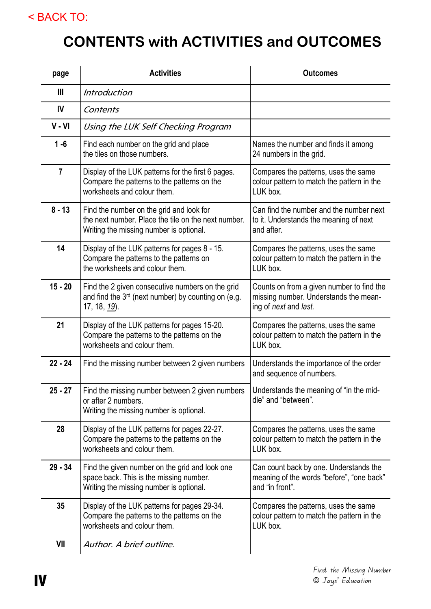## < BACK TO:

## **CONTENTS with ACTIVITIES and OUTCOMES**

| page           | <b>Activities</b>                                                                                                                          | <b>Outcomes</b>                                                                                             |
|----------------|--------------------------------------------------------------------------------------------------------------------------------------------|-------------------------------------------------------------------------------------------------------------|
| $\mathbf{III}$ | <i><b>Introduction</b></i>                                                                                                                 |                                                                                                             |
| IV             | Contents                                                                                                                                   |                                                                                                             |
| $V - VI$       | Using the LUK Self Checking Program                                                                                                        |                                                                                                             |
| $1 - 6$        | Find each number on the grid and place<br>the tiles on those numbers.                                                                      | Names the number and finds it among<br>24 numbers in the grid.                                              |
| $\overline{7}$ | Display of the LUK patterns for the first 6 pages.<br>Compare the patterns to the patterns on the<br>worksheets and colour them.           | Compares the patterns, uses the same<br>colour pattern to match the pattern in the<br>LUK box.              |
| $8 - 13$       | Find the number on the grid and look for<br>the next number. Place the tile on the next number.<br>Writing the missing number is optional. | Can find the number and the number next<br>to it. Understands the meaning of next<br>and after.             |
| 14             | Display of the LUK patterns for pages 8 - 15.<br>Compare the patterns to the patterns on<br>the worksheets and colour them.                | Compares the patterns, uses the same<br>colour pattern to match the pattern in the<br>LUK box.              |
| $15 - 20$      | Find the 2 given consecutive numbers on the grid<br>and find the 3 <sup>rd</sup> (next number) by counting on (e.g.<br>17, 18, 19).        | Counts on from a given number to find the<br>missing number. Understands the mean-<br>ing of next and last. |
| 21             | Display of the LUK patterns for pages 15-20.<br>Compare the patterns to the patterns on the<br>worksheets and colour them.                 | Compares the patterns, uses the same<br>colour pattern to match the pattern in the<br>LUK box.              |
| $22 - 24$      | Find the missing number between 2 given numbers                                                                                            | Understands the importance of the order<br>and sequence of numbers.                                         |
| 25 - 27        | Find the missing number between 2 given numbers<br>or after 2 numbers.<br>Writing the missing number is optional.                          | Understands the meaning of "in the mid-<br>dle" and "between".                                              |
| 28             | Display of the LUK patterns for pages 22-27.<br>Compare the patterns to the patterns on the<br>worksheets and colour them.                 | Compares the patterns, uses the same<br>colour pattern to match the pattern in the<br>LUK box.              |
| $29 - 34$      | Find the given number on the grid and look one<br>space back. This is the missing number.<br>Writing the missing number is optional.       | Can count back by one. Understands the<br>meaning of the words "before", "one back"<br>and "in front".      |
| 35             | Display of the LUK patterns for pages 29-34.<br>Compare the patterns to the patterns on the<br>worksheets and colour them.                 | Compares the patterns, uses the same<br>colour pattern to match the pattern in the<br>LUK box.              |
| VII            | Author. A brief outline.                                                                                                                   |                                                                                                             |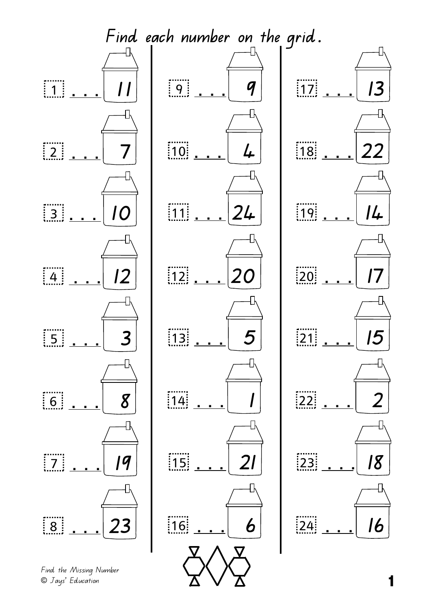

© Jays' Education **1**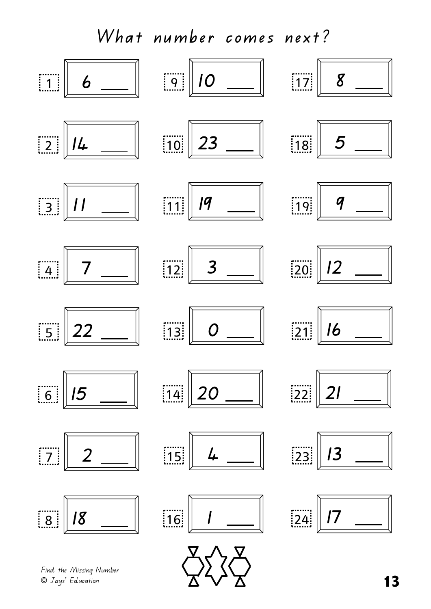

© Jays' Education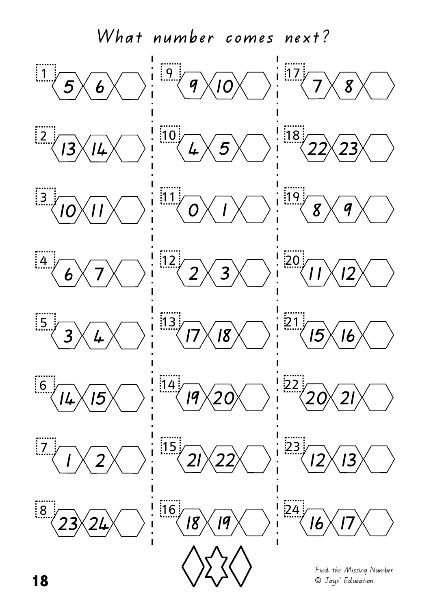**What number comes next?**